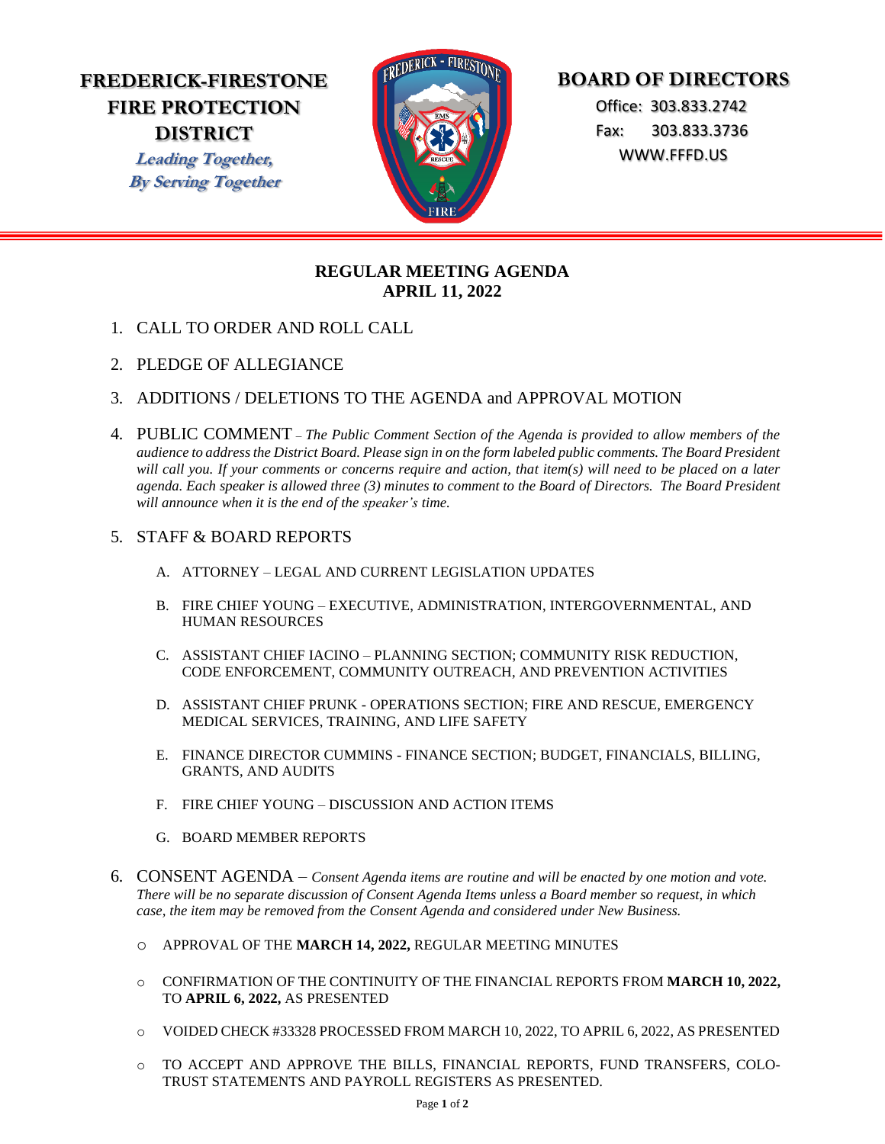## **FREDERICK-FIRESTONE FIRE PROTECTION DISTRICT**

**Leading Together, By Serving Together**



# **BOARD OF DIRECTORS**

 Office: 303.833.2742 Fax: 303.833.3736 WWW.FFFD.US

### **REGULAR MEETING AGENDA APRIL 11, 2022**

- 1. CALL TO ORDER AND ROLL CALL
- 2. PLEDGE OF ALLEGIANCE
- 3. ADDITIONS / DELETIONS TO THE AGENDA and APPROVAL MOTION
- 4. PUBLIC COMMENT *The Public Comment Section of the Agenda is provided to allow members of the audience to address the District Board. Please sign in on the form labeled public comments. The Board President will call you. If your comments or concerns require and action, that item(s) will need to be placed on a later agenda. Each speaker is allowed three (3) minutes to comment to the Board of Directors. The Board President will announce when it is the end of the speaker's time.*

### 5. STAFF & BOARD REPORTS

- A. ATTORNEY LEGAL AND CURRENT LEGISLATION UPDATES
- B. FIRE CHIEF YOUNG EXECUTIVE, ADMINISTRATION, INTERGOVERNMENTAL, AND HUMAN RESOURCES
- C. ASSISTANT CHIEF IACINO PLANNING SECTION; COMMUNITY RISK REDUCTION, CODE ENFORCEMENT, COMMUNITY OUTREACH, AND PREVENTION ACTIVITIES
- D. ASSISTANT CHIEF PRUNK OPERATIONS SECTION; FIRE AND RESCUE, EMERGENCY MEDICAL SERVICES, TRAINING, AND LIFE SAFETY
- E. FINANCE DIRECTOR CUMMINS FINANCE SECTION; BUDGET, FINANCIALS, BILLING, GRANTS, AND AUDITS
- F. FIRE CHIEF YOUNG DISCUSSION AND ACTION ITEMS
- G. BOARD MEMBER REPORTS
- 6. CONSENT AGENDA *Consent Agenda items are routine and will be enacted by one motion and vote. There will be no separate discussion of Consent Agenda Items unless a Board member so request, in which case, the item may be removed from the Consent Agenda and considered under New Business.* 
	- o APPROVAL OF THE **MARCH 14, 2022,** REGULAR MEETING MINUTES
	- o CONFIRMATION OF THE CONTINUITY OF THE FINANCIAL REPORTS FROM **MARCH 10, 2022,** TO **APRIL 6, 2022,** AS PRESENTED
	- o VOIDED CHECK #33328 PROCESSED FROM MARCH 10, 2022, TO APRIL 6, 2022, AS PRESENTED
	- o TO ACCEPT AND APPROVE THE BILLS, FINANCIAL REPORTS, FUND TRANSFERS, COLO-TRUST STATEMENTS AND PAYROLL REGISTERS AS PRESENTED.